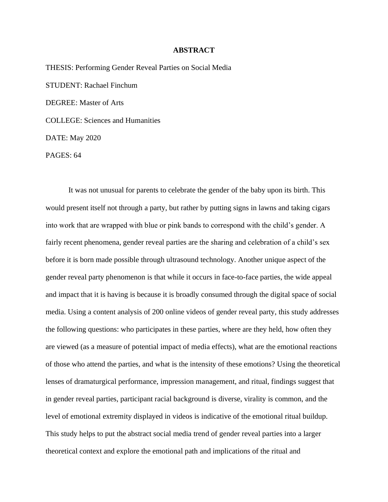## **ABSTRACT**

THESIS: Performing Gender Reveal Parties on Social Media STUDENT: Rachael Finchum DEGREE: Master of Arts COLLEGE: Sciences and Humanities DATE: May 2020

PAGES: 64

It was not unusual for parents to celebrate the gender of the baby upon its birth. This would present itself not through a party, but rather by putting signs in lawns and taking cigars into work that are wrapped with blue or pink bands to correspond with the child's gender. A fairly recent phenomena, gender reveal parties are the sharing and celebration of a child's sex before it is born made possible through ultrasound technology. Another unique aspect of the gender reveal party phenomenon is that while it occurs in face-to-face parties, the wide appeal and impact that it is having is because it is broadly consumed through the digital space of social media. Using a content analysis of 200 online videos of gender reveal party, this study addresses the following questions: who participates in these parties, where are they held, how often they are viewed (as a measure of potential impact of media effects), what are the emotional reactions of those who attend the parties, and what is the intensity of these emotions? Using the theoretical lenses of dramaturgical performance, impression management, and ritual, findings suggest that in gender reveal parties, participant racial background is diverse, virality is common, and the level of emotional extremity displayed in videos is indicative of the emotional ritual buildup. This study helps to put the abstract social media trend of gender reveal parties into a larger theoretical context and explore the emotional path and implications of the ritual and